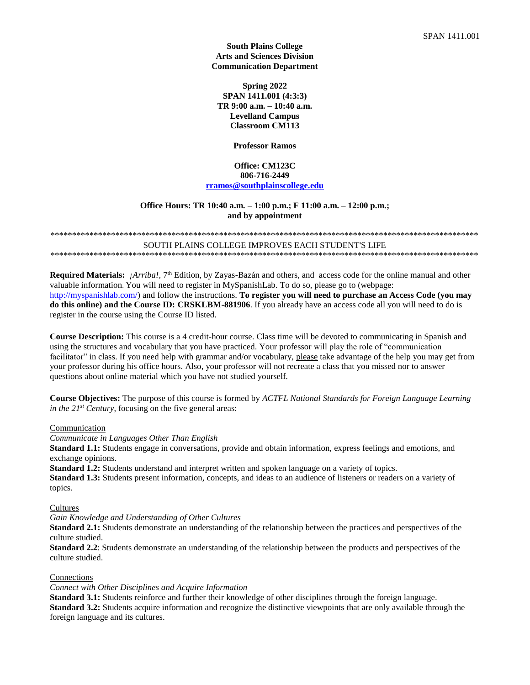**South Plains College Arts and Sciences Division Communication Department**

**Spring 2022 SPAN 1411.001 (4:3:3) TR 9:00 a.m. – 10:40 a.m. Levelland Campus Classroom CM113**

**Professor Ramos**

## **Office: CM123C 806-716-2449 [rramos@southplainscollege.edu](mailto:rramos@southplainscollege.edu)**

### **Office Hours: TR 10:40 a.m. – 1:00 p.m.; F 11:00 a.m. – 12:00 p.m.; and by appointment**

#### \*\*\*\*\*\*\*\*\*\*\*\*\*\*\*\*\*\*\*\*\*\*\*\*\*\*\*\*\*\*\*\*\*\*\*\*\*\*\*\*\*\*\*\*\*\*\*\*\*\*\*\*\*\*\*\*\*\*\*\*\*\*\*\*\*\*\*\*\*\*\*\*\*\*\*\*\*\*\*\*\*\*\*\*\*\*\*\*\*\*\*\*\*\*\*\*\*\*\* SOUTH PLAINS COLLEGE IMPROVES EACH STUDENT'S LIFE \*\*\*\*\*\*\*\*\*\*\*\*\*\*\*\*\*\*\*\*\*\*\*\*\*\*\*\*\*\*\*\*\*\*\*\*\*\*\*\*\*\*\*\*\*\*\*\*\*\*\*\*\*\*\*\*\*\*\*\*\*\*\*\*\*\*\*\*\*\*\*\*\*\*\*\*\*\*\*\*\*\*\*\*\*\*\*\*\*\*\*\*\*\*\*\*\*\*\*

Required Materials: *¡Arriba!*, 7<sup>th</sup> Edition, by Zayas-Bazán and others, and access code for the online manual and other valuable information. You will need to register in MySpanishLab. To do so, please go to (webpage: http://myspanishlab.com/) and follow the instructions. **To register you will need to purchase an Access Code (you may do this online) and the Course ID: CRSKLBM-881906**. If you already have an access code all you will need to do is register in the course using the Course ID listed.

**Course Description:** This course is a 4 credit-hour course. Class time will be devoted to communicating in Spanish and using the structures and vocabulary that you have practiced. Your professor will play the role of "communication facilitator" in class. If you need help with grammar and/or vocabulary, please take advantage of the help you may get from your professor during his office hours. Also, your professor will not recreate a class that you missed nor to answer questions about online material which you have not studied yourself.

**Course Objectives:** The purpose of this course is formed by *ACTFL National Standards for Foreign Language Learning in the 21st Century*, focusing on the five general areas:

### Communication

*Communicate in Languages Other Than English*

**Standard 1.1:** Students engage in conversations, provide and obtain information, express feelings and emotions, and exchange opinions.

**Standard 1.2:** Students understand and interpret written and spoken language on a variety of topics.

**Standard 1.3:** Students present information, concepts, and ideas to an audience of listeners or readers on a variety of topics.

#### **Cultures**

*Gain Knowledge and Understanding of Other Cultures*

**Standard 2.1:** Students demonstrate an understanding of the relationship between the practices and perspectives of the culture studied.

**Standard 2.2**: Students demonstrate an understanding of the relationship between the products and perspectives of the culture studied.

#### Connections

*Connect with Other Disciplines and Acquire Information*

**Standard 3.1:** Students reinforce and further their knowledge of other disciplines through the foreign language. **Standard 3.2:** Students acquire information and recognize the distinctive viewpoints that are only available through the foreign language and its cultures.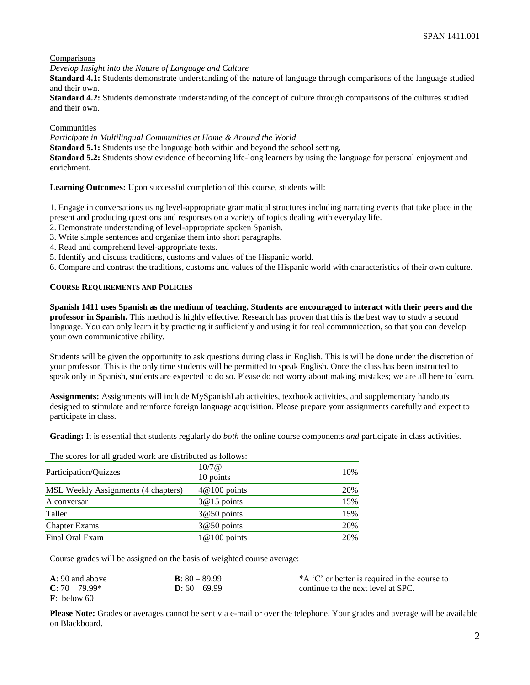## Comparisons

*Develop Insight into the Nature of Language and Culture*

**Standard 4.1:** Students demonstrate understanding of the nature of language through comparisons of the language studied and their own.

**Standard 4.2:** Students demonstrate understanding of the concept of culture through comparisons of the cultures studied and their own.

### **Communities**

*Participate in Multilingual Communities at Home & Around the World*

**Standard 5.1:** Students use the language both within and beyond the school setting.

**Standard 5.2:** Students show evidence of becoming life-long learners by using the language for personal enjoyment and enrichment.

**Learning Outcomes:** Upon successful completion of this course, students will:

1. Engage in conversations using level-appropriate grammatical structures including narrating events that take place in the present and producing questions and responses on a variety of topics dealing with everyday life.

- 2. Demonstrate understanding of level-appropriate spoken Spanish.
- 3. Write simple sentences and organize them into short paragraphs.
- 4. Read and comprehend level-appropriate texts.
- 5. Identify and discuss traditions, customs and values of the Hispanic world.

6. Compare and contrast the traditions, customs and values of the Hispanic world with characteristics of their own culture.

### **COURSE REQUIREMENTS AND POLICIES**

**Spanish 1411 uses Spanish as the medium of teaching.** S**tudents are encouraged to interact with their peers and the professor in Spanish.** This method is highly effective. Research has proven that this is the best way to study a second language. You can only learn it by practicing it sufficiently and using it for real communication, so that you can develop your own communicative ability.

Students will be given the opportunity to ask questions during class in English. This is will be done under the discretion of your professor. This is the only time students will be permitted to speak English. Once the class has been instructed to speak only in Spanish, students are expected to do so. Please do not worry about making mistakes; we are all here to learn.

**Assignments:** Assignments will include MySpanishLab activities, textbook activities, and supplementary handouts designed to stimulate and reinforce foreign language acquisition. Please prepare your assignments carefully and expect to participate in class.

**Grading:** It is essential that students regularly do *both* the online course components *and* participate in class activities.

The scores for all graded work are distributed as follows:

| 10/7@<br>10 points | 10% |
|--------------------|-----|
| $4@100$ points     | 20% |
| $3@15$ points      | 15% |
| $3@50$ points      | 15% |
| $3@50$ points      | 20% |
| $1@100$ points     | 20% |
|                    |     |

Course grades will be assigned on the basis of weighted course average:

| $A: 90$ and above       | <b>B</b> : $80 - 89.99$ | *A 'C' or better is required in the course to |
|-------------------------|-------------------------|-----------------------------------------------|
| $C: 70 - 79.99*$        | $D: 60 - 69.99$         | continue to the next level at SPC.            |
| $\mathbf{F}$ : below 60 |                         |                                               |

**Please Note:** Grades or averages cannot be sent via e-mail or over the telephone. Your grades and average will be available on Blackboard.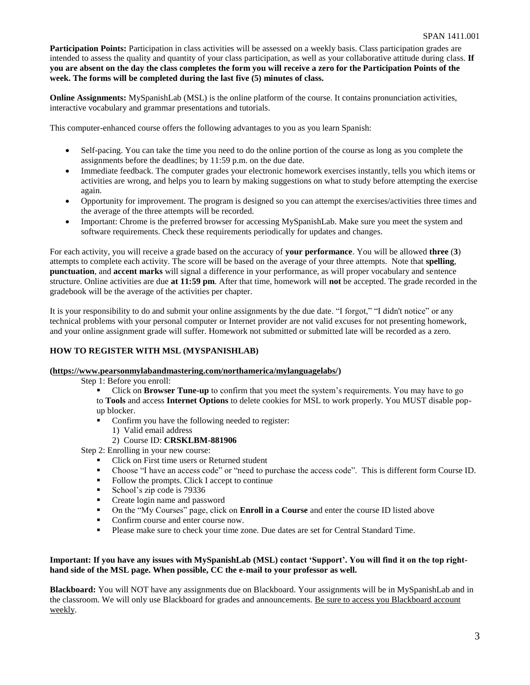**Participation Points:** Participation in class activities will be assessed on a weekly basis. Class participation grades are intended to assess the quality and quantity of your class participation, as well as your collaborative attitude during class. **If you are absent on the day the class completes the form you will receive a zero for the Participation Points of the week. The forms will be completed during the last five (5) minutes of class.**

**Online Assignments:** MySpanishLab (MSL) is the online platform of the course. It contains pronunciation activities, interactive vocabulary and grammar presentations and tutorials.

This computer-enhanced course offers the following advantages to you as you learn Spanish:

- Self-pacing. You can take the time you need to do the online portion of the course as long as you complete the assignments before the deadlines; by 11:59 p.m. on the due date.
- Immediate feedback. The computer grades your electronic homework exercises instantly, tells you which items or activities are wrong, and helps you to learn by making suggestions on what to study before attempting the exercise again.
- Opportunity for improvement. The program is designed so you can attempt the exercises/activities three times and the average of the three attempts will be recorded.
- Important: Chrome is the preferred browser for accessing MySpanishLab. Make sure you meet the system and software requirements. Check these requirements periodically for updates and changes.

For each activity, you will receive a grade based on the accuracy of **your performance**. You will be allowed **three** (**3**) attempts to complete each activity. The score will be based on the average of your three attempts. Note that **spelling**, **punctuation**, and **accent marks** will signal a difference in your performance, as will proper vocabulary and sentence structure. Online activities are due **at 11:59 pm**. After that time, homework will **not** be accepted. The grade recorded in the gradebook will be the average of the activities per chapter.

It is your responsibility to do and submit your online assignments by the due date. "I forgot," "I didn't notice" or any technical problems with your personal computer or Internet provider are not valid excuses for not presenting homework, and your online assignment grade will suffer. Homework not submitted or submitted late will be recorded as a zero.

## **HOW TO REGISTER WITH MSL (MYSPANISHLAB)**

## **[\(https://www.pearsonmylabandmastering.com/northamerica/mylanguagelabs/\)](https://www.pearsonmylabandmastering.com/northamerica/mylanguagelabs/)**

Step 1: Before you enroll:

Click on **Browser Tune-up** to confirm that you meet the system's requirements. You may have to go to **Tools** and access **Internet Options** to delete cookies for MSL to work properly. You MUST disable popup blocker.

- Confirm you have the following needed to register:
	- 1) Valid email address
	- 2) Course ID: **CRSKLBM-881906**

Step 2: Enrolling in your new course:

- Click on First time users or Returned student
- Choose "I have an access code" or "need to purchase the access code". This is different form Course ID.<br>■ Follow the prompts Click I accept to continue
- Follow the prompts. Click I accept to continue
- School's zip code is 79336
- Create login name and password
- On the "My Courses" page, click on **Enroll in a Course** and enter the course ID listed above
- Confirm course and enter course now.
- Please make sure to check your time zone. Due dates are set for Central Standard Time.

## **Important: If you have any issues with MySpanishLab (MSL) contact 'Support'. You will find it on the top righthand side of the MSL page. When possible, CC the e-mail to your professor as well.**

**Blackboard:** You will NOT have any assignments due on Blackboard. Your assignments will be in MySpanishLab and in the classroom. We will only use Blackboard for grades and announcements. Be sure to access you Blackboard account weekly.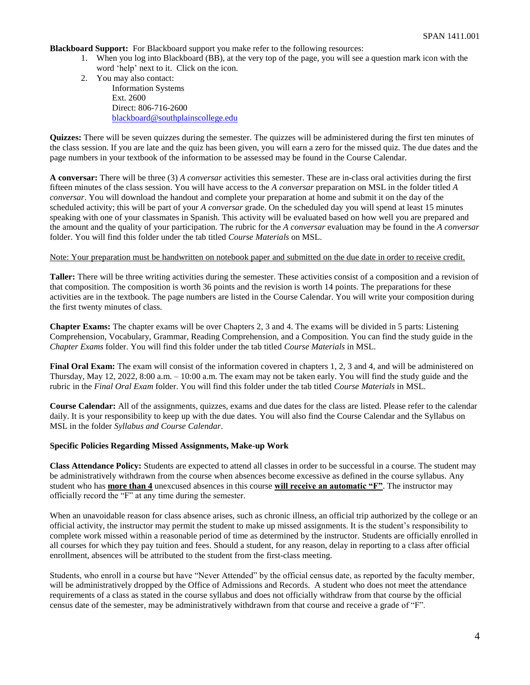**Blackboard Support:** For Blackboard support you make refer to the following resources:

- 1. When you log into Blackboard (BB), at the very top of the page, you will see a question mark icon with the word 'help' next to it. Click on the icon.
- 2. You may also contact: Information Systems Ext. 2600 Direct: 806-716-2600 [blackboard@southplainscollege.edu](mailto:jetucker@southplainscollege.edu)

**Quizzes:** There will be seven quizzes during the semester. The quizzes will be administered during the first ten minutes of the class session. If you are late and the quiz has been given, you will earn a zero for the missed quiz. The due dates and the page numbers in your textbook of the information to be assessed may be found in the Course Calendar.

**A conversar:** There will be three (3) *A conversar* activities this semester. These are in-class oral activities during the first fifteen minutes of the class session. You will have access to the *A conversar* preparation on MSL in the folder titled *A conversar*. You will download the handout and complete your preparation at home and submit it on the day of the scheduled activity; this will be part of your *A conversar* grade. On the scheduled day you will spend at least 15 minutes speaking with one of your classmates in Spanish. This activity will be evaluated based on how well you are prepared and the amount and the quality of your participation. The rubric for the *A conversar* evaluation may be found in the *A conversar* folder. You will find this folder under the tab titled *Course Materials* on MSL.

### Note: Your preparation must be handwritten on notebook paper and submitted on the due date in order to receive credit.

**Taller:** There will be three writing activities during the semester. These activities consist of a composition and a revision of that composition. The composition is worth 36 points and the revision is worth 14 points. The preparations for these activities are in the textbook. The page numbers are listed in the Course Calendar. You will write your composition during the first twenty minutes of class.

**Chapter Exams:** The chapter exams will be over Chapters 2, 3 and 4. The exams will be divided in 5 parts: Listening Comprehension, Vocabulary, Grammar, Reading Comprehension, and a Composition. You can find the study guide in the *Chapter Exams* folder. You will find this folder under the tab titled *Course Materials* in MSL.

**Final Oral Exam:** The exam will consist of the information covered in chapters 1, 2, 3 and 4, and will be administered on Thursday, May 12, 2022, 8:00 a.m. – 10:00 a.m. The exam may not be taken early. You will find the study guide and the rubric in the *Final Oral Exam* folder. You will find this folder under the tab titled *Course Materials* in MSL.

**Course Calendar:** All of the assignments, quizzes, exams and due dates for the class are listed. Please refer to the calendar daily. It is your responsibility to keep up with the due dates. You will also find the Course Calendar and the Syllabus on MSL in the folder *Syllabus and Course Calendar*.

### **Specific Policies Regarding Missed Assignments, Make-up Work**

**Class Attendance Policy:** Students are expected to attend all classes in order to be successful in a course. The student may be administratively withdrawn from the course when absences become excessive as defined in the course syllabus. Any student who has **more than 4** unexcused absences in this course **will receive an automatic "F"**. The instructor may officially record the "F" at any time during the semester.

When an unavoidable reason for class absence arises, such as chronic illness, an official trip authorized by the college or an official activity, the instructor may permit the student to make up missed assignments. It is the student's responsibility to complete work missed within a reasonable period of time as determined by the instructor. Students are officially enrolled in all courses for which they pay tuition and fees. Should a student, for any reason, delay in reporting to a class after official enrollment, absences will be attributed to the student from the first-class meeting.

Students, who enroll in a course but have "Never Attended" by the official census date, as reported by the faculty member, will be administratively dropped by the Office of Admissions and Records. A student who does not meet the attendance requirements of a class as stated in the course syllabus and does not officially withdraw from that course by the official census date of the semester, may be administratively withdrawn from that course and receive a grade of "F".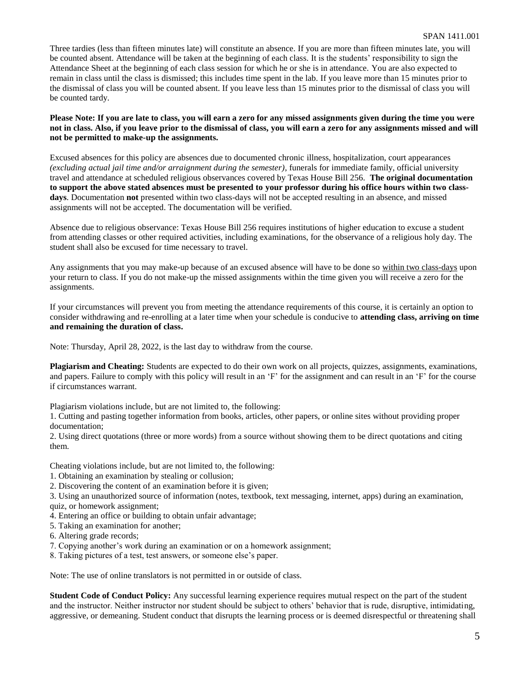Three tardies (less than fifteen minutes late) will constitute an absence. If you are more than fifteen minutes late, you will be counted absent. Attendance will be taken at the beginning of each class. It is the students' responsibility to sign the Attendance Sheet at the beginning of each class session for which he or she is in attendance. You are also expected to remain in class until the class is dismissed; this includes time spent in the lab. If you leave more than 15 minutes prior to the dismissal of class you will be counted absent. If you leave less than 15 minutes prior to the dismissal of class you will be counted tardy.

**Please Note: If you are late to class, you will earn a zero for any missed assignments given during the time you were not in class. Also, if you leave prior to the dismissal of class, you will earn a zero for any assignments missed and will not be permitted to make-up the assignments.**

Excused absences for this policy are absences due to documented chronic illness, hospitalization, court appearances *(excluding actual jail time and/or arraignment during the semester)*, funerals for immediate family, official university travel and attendance at scheduled religious observances covered by Texas House Bill 256. **The original documentation to support the above stated absences must be presented to your professor during his office hours within two classdays**. Documentation **not** presented within two class-days will not be accepted resulting in an absence, and missed assignments will not be accepted. The documentation will be verified.

Absence due to religious observance: Texas House Bill 256 requires institutions of higher education to excuse a student from attending classes or other required activities, including examinations, for the observance of a religious holy day. The student shall also be excused for time necessary to travel.

Any assignments that you may make-up because of an excused absence will have to be done so within two class-days upon your return to class. If you do not make-up the missed assignments within the time given you will receive a zero for the assignments.

If your circumstances will prevent you from meeting the attendance requirements of this course, it is certainly an option to consider withdrawing and re-enrolling at a later time when your schedule is conducive to **attending class, arriving on time and remaining the duration of class.**

Note: Thursday, April 28, 2022, is the last day to withdraw from the course.

**Plagiarism and Cheating:** Students are expected to do their own work on all projects, quizzes, assignments, examinations, and papers. Failure to comply with this policy will result in an 'F' for the assignment and can result in an 'F' for the course if circumstances warrant.

Plagiarism violations include, but are not limited to, the following:

1. Cutting and pasting together information from books, articles, other papers, or online sites without providing proper documentation;

2. Using direct quotations (three or more words) from a source without showing them to be direct quotations and citing them.

Cheating violations include, but are not limited to, the following:

- 1. Obtaining an examination by stealing or collusion;
- 2. Discovering the content of an examination before it is given;

3. Using an unauthorized source of information (notes, textbook, text messaging, internet, apps) during an examination, quiz, or homework assignment;

- 4. Entering an office or building to obtain unfair advantage;
- 5. Taking an examination for another;
- 6. Altering grade records;
- 7. Copying another's work during an examination or on a homework assignment;
- 8. Taking pictures of a test, test answers, or someone else's paper.

Note: The use of online translators is not permitted in or outside of class.

**Student Code of Conduct Policy:** Any successful learning experience requires mutual respect on the part of the student and the instructor. Neither instructor nor student should be subject to others' behavior that is rude, disruptive, intimidating, aggressive, or demeaning. Student conduct that disrupts the learning process or is deemed disrespectful or threatening shall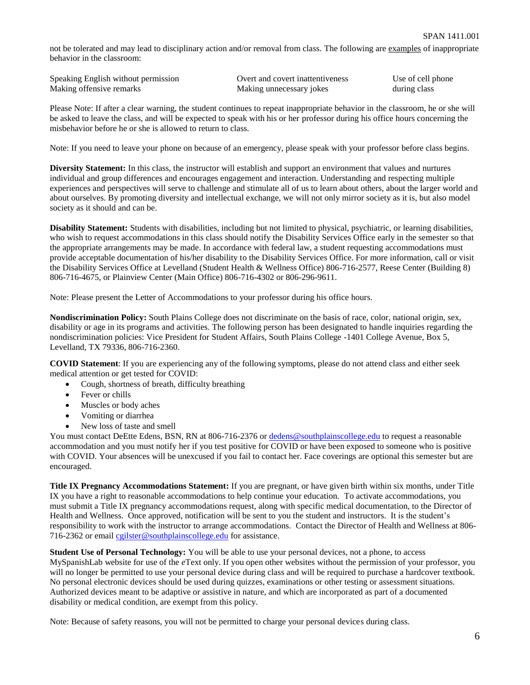not be tolerated and may lead to disciplinary action and/or removal from class. The following are examples of inappropriate behavior in the classroom:

| Speaking English without permission | Overt and covert inattentiveness | Use of cell phone |
|-------------------------------------|----------------------------------|-------------------|
| Making offensive remarks            | Making unnecessary jokes         | during class      |

Please Note: If after a clear warning, the student continues to repeat inappropriate behavior in the classroom, he or she will be asked to leave the class, and will be expected to speak with his or her professor during his office hours concerning the misbehavior before he or she is allowed to return to class.

Note: If you need to leave your phone on because of an emergency, please speak with your professor before class begins.

**Diversity Statement:** In this class, the instructor will establish and support an environment that values and nurtures individual and group differences and encourages engagement and interaction. Understanding and respecting multiple experiences and perspectives will serve to challenge and stimulate all of us to learn about others, about the larger world and about ourselves. By promoting diversity and intellectual exchange, we will not only mirror society as it is, but also model society as it should and can be.

**Disability Statement:** Students with disabilities, including but not limited to physical, psychiatric, or learning disabilities, who wish to request accommodations in this class should notify the Disability Services Office early in the semester so that the appropriate arrangements may be made. In accordance with federal law, a student requesting accommodations must provide acceptable documentation of his/her disability to the Disability Services Office. For more information, call or visit the Disability Services Office at Levelland (Student Health & Wellness Office) 806-716-2577, Reese Center (Building 8) 806-716-4675, or Plainview Center (Main Office) 806-716-4302 or 806-296-9611.

Note: Please present the Letter of Accommodations to your professor during his office hours.

**Nondiscrimination Policy:** South Plains College does not discriminate on the basis of race, color, national origin, sex, disability or age in its programs and activities. The following person has been designated to handle inquiries regarding the nondiscrimination policies: Vice President for Student Affairs, South Plains College -1401 College Avenue, Box 5, Levelland, TX 79336, 806-716-2360.

**COVID Statement**: If you are experiencing any of the following symptoms, please do not attend class and either seek medical attention or get tested for COVID:

- Cough, shortness of breath, difficulty breathing
- Fever or chills
- Muscles or body aches
- Vomiting or diarrhea
- New loss of taste and smell

You must contact DeEtte Edens, BSN, RN at 806-716-2376 or [dedens@southplainscollege.edu](mailto:dedens@southplainscollege.edu) to request a reasonable accommodation and you must notify her if you test positive for COVID or have been exposed to someone who is positive with COVID. Your absences will be unexcused if you fail to contact her. Face coverings are optional this semester but are encouraged.

**Title IX Pregnancy Accommodations Statement:** If you are pregnant, or have given birth within six months, under Title IX you have a right to reasonable accommodations to help continue your education. To activate accommodations, you must submit a Title IX pregnancy accommodations request, along with specific medical documentation, to the Director of Health and Wellness. Once approved, notification will be sent to you the student and instructors. It is the student's responsibility to work with the instructor to arrange accommodations. Contact the Director of Health and Wellness at 806- 716-2362 or email [cgilster@southplainscollege.edu](mailto:cgilster@southplainscollege.edu) for assistance.

**Student Use of Personal Technology:** You will be able to use your personal devices, not a phone, to access

MySpanishLab website for use of the *e*Text only. If you open other websites without the permission of your professor, you will no longer be permitted to use your personal device during class and will be required to purchase a hardcover textbook. No personal electronic devices should be used during quizzes, examinations or other testing or assessment situations. Authorized devices meant to be adaptive or assistive in nature, and which are incorporated as part of a documented disability or medical condition, are exempt from this policy.

Note: Because of safety reasons, you will not be permitted to charge your personal devices during class.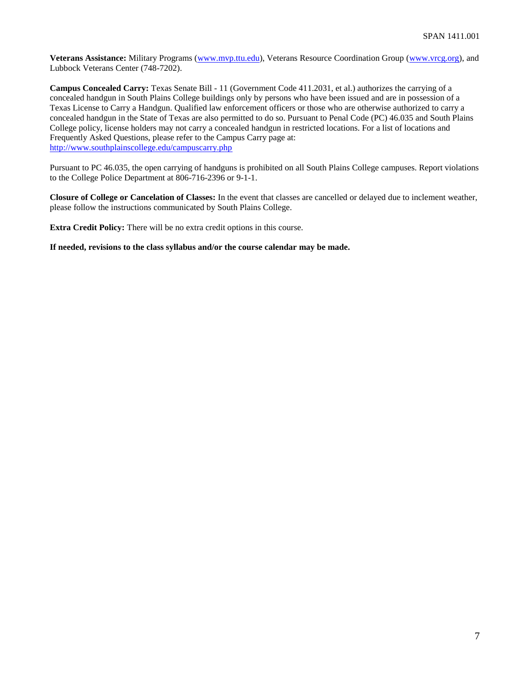**Veterans Assistance:** Military Programs [\(www.mvp.ttu.edu\)](http://www.mvp.ttu.edu/), Veterans Resource Coordination Group [\(www.vrcg.org\)](http://www.vrcg.org/), and Lubbock Veterans Center (748-7202).

**Campus Concealed Carry:** Texas Senate Bill - 11 (Government Code 411.2031, et al.) authorizes the carrying of a concealed handgun in South Plains College buildings only by persons who have been issued and are in possession of a Texas License to Carry a Handgun. Qualified law enforcement officers or those who are otherwise authorized to carry a concealed handgun in the State of Texas are also permitted to do so. Pursuant to Penal Code (PC) 46.035 and South Plains College policy, license holders may not carry a concealed handgun in restricted locations. For a list of locations and Frequently Asked Questions, please refer to the Campus Carry page at: <http://www.southplainscollege.edu/campuscarry.php>

Pursuant to PC 46.035, the open carrying of handguns is prohibited on all South Plains College campuses. Report violations to the College Police Department at 806-716-2396 or 9-1-1.

**Closure of College or Cancelation of Classes:** In the event that classes are cancelled or delayed due to inclement weather, please follow the instructions communicated by South Plains College.

**Extra Credit Policy:** There will be no extra credit options in this course.

**If needed, revisions to the class syllabus and/or the course calendar may be made.**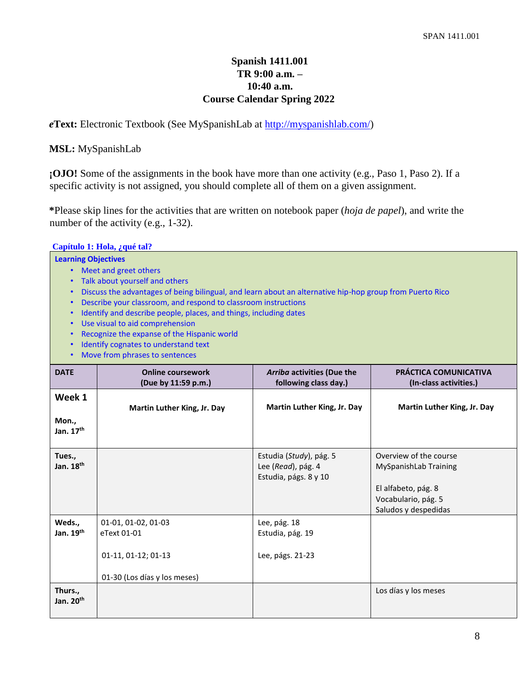# **Spanish 1411.001 TR 9:00 a.m. – 10:40 a.m. Course Calendar Spring 2022**

*e***Text:** Electronic Textbook (See MySpanishLab at [http://myspanishlab.com/\)](http://myspanishlab.com/)

# **MSL:** MySpanishLab

**;OJO!** Some of the assignments in the book have more than one activity (e.g., Paso 1, Paso 2). If a specific activity is not assigned, you should complete all of them on a given assignment.

**\***Please skip lines for the activities that are written on notebook paper (*hoja de papel*), and write the number of the activity (e.g., 1-32).

|                                                                                                                                                                                                                                                                                                                                                                                                                                                                                                                                                            | Capítulo 1: Hola, ¿qué tal?                               |                                                                        |                                                                                                                       |
|------------------------------------------------------------------------------------------------------------------------------------------------------------------------------------------------------------------------------------------------------------------------------------------------------------------------------------------------------------------------------------------------------------------------------------------------------------------------------------------------------------------------------------------------------------|-----------------------------------------------------------|------------------------------------------------------------------------|-----------------------------------------------------------------------------------------------------------------------|
| <b>Learning Objectives</b><br>• Meet and greet others<br>Talk about yourself and others<br>Discuss the advantages of being bilingual, and learn about an alternative hip-hop group from Puerto Rico<br>$\bullet$<br>Describe your classroom, and respond to classroom instructions<br>$\bullet$<br>Identify and describe people, places, and things, including dates<br>Use visual to aid comprehension<br>$\bullet$<br>Recognize the expanse of the Hispanic world<br>Identify cognates to understand text<br>Move from phrases to sentences<br>$\bullet$ |                                                           |                                                                        |                                                                                                                       |
| <b>DATE</b>                                                                                                                                                                                                                                                                                                                                                                                                                                                                                                                                                | <b>Online coursework</b><br>(Due by 11:59 p.m.)           | Arriba activities (Due the<br>following class day.)                    | PRÁCTICA COMUNICATIVA<br>(In-class activities.)                                                                       |
| Week 1<br>Mon.,<br>Jan. 17th                                                                                                                                                                                                                                                                                                                                                                                                                                                                                                                               | Martin Luther King, Jr. Day                               | Martin Luther King, Jr. Day                                            | Martin Luther King, Jr. Day                                                                                           |
| Tues.,<br>Jan. 18 <sup>th</sup>                                                                                                                                                                                                                                                                                                                                                                                                                                                                                                                            |                                                           | Estudia (Study), pág. 5<br>Lee (Read), pág. 4<br>Estudia, págs. 8 y 10 | Overview of the course<br>MySpanishLab Training<br>El alfabeto, pág. 8<br>Vocabulario, pág. 5<br>Saludos y despedidas |
| Weds.,<br>Jan. 19th                                                                                                                                                                                                                                                                                                                                                                                                                                                                                                                                        | 01-01, 01-02, 01-03<br>eText 01-01<br>01-11, 01-12; 01-13 | Lee, pág. 18<br>Estudia, pág. 19<br>Lee, págs. 21-23                   |                                                                                                                       |
| Thurs.,<br>Jan. 20 <sup>th</sup>                                                                                                                                                                                                                                                                                                                                                                                                                                                                                                                           | 01-30 (Los días y los meses)                              |                                                                        | Los días y los meses                                                                                                  |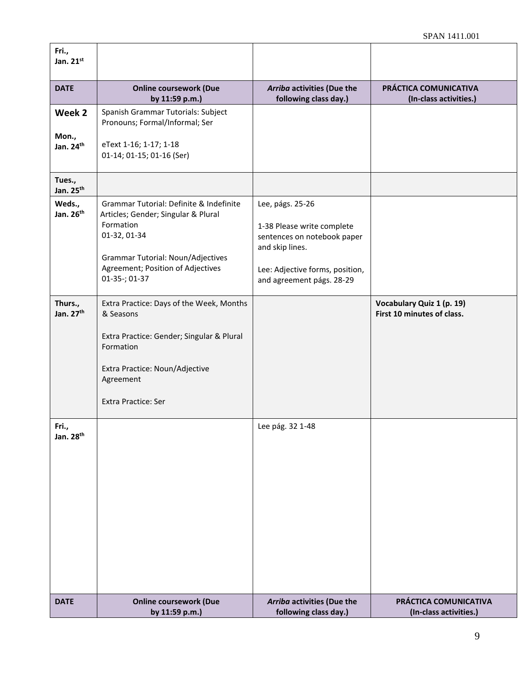| Fri.,<br>Jan. 21st               |                                                                                                                                                                                                        |                                                                                                                                                                  |                                                         |
|----------------------------------|--------------------------------------------------------------------------------------------------------------------------------------------------------------------------------------------------------|------------------------------------------------------------------------------------------------------------------------------------------------------------------|---------------------------------------------------------|
| <b>DATE</b>                      | <b>Online coursework (Due</b><br>by 11:59 p.m.)                                                                                                                                                        | Arriba activities (Due the<br>following class day.)                                                                                                              | PRÁCTICA COMUNICATIVA<br>(In-class activities.)         |
| Week 2                           | Spanish Grammar Tutorials: Subject<br>Pronouns; Formal/Informal; Ser                                                                                                                                   |                                                                                                                                                                  |                                                         |
| Mon.,<br>Jan. 24 <sup>th</sup>   | eText 1-16; 1-17; 1-18<br>01-14; 01-15; 01-16 (Ser)                                                                                                                                                    |                                                                                                                                                                  |                                                         |
| Tues.,<br>Jan. 25 <sup>th</sup>  |                                                                                                                                                                                                        |                                                                                                                                                                  |                                                         |
| Weds.,<br>Jan. 26 <sup>th</sup>  | Grammar Tutorial: Definite & Indefinite<br>Articles; Gender; Singular & Plural<br>Formation<br>01-32, 01-34<br>Grammar Tutorial: Noun/Adjectives<br>Agreement; Position of Adjectives<br>01-35-; 01-37 | Lee, págs. 25-26<br>1-38 Please write complete<br>sentences on notebook paper<br>and skip lines.<br>Lee: Adjective forms, position,<br>and agreement págs. 28-29 |                                                         |
| Thurs.,<br>Jan. 27 <sup>th</sup> | Extra Practice: Days of the Week, Months<br>& Seasons                                                                                                                                                  |                                                                                                                                                                  | Vocabulary Quiz 1 (p. 19)<br>First 10 minutes of class. |
|                                  | Extra Practice: Gender; Singular & Plural<br>Formation                                                                                                                                                 |                                                                                                                                                                  |                                                         |
|                                  | Extra Practice: Noun/Adjective<br>Agreement                                                                                                                                                            |                                                                                                                                                                  |                                                         |
|                                  | <b>Extra Practice: Ser</b>                                                                                                                                                                             |                                                                                                                                                                  |                                                         |
| Fri.,<br>Jan. 28 <sup>th</sup>   |                                                                                                                                                                                                        | Lee pág. 32 1-48                                                                                                                                                 |                                                         |
| <b>DATE</b>                      | <b>Online coursework (Due</b><br>by 11:59 p.m.)                                                                                                                                                        | Arriba activities (Due the<br>following class day.)                                                                                                              | PRÁCTICA COMUNICATIVA<br>(In-class activities.)         |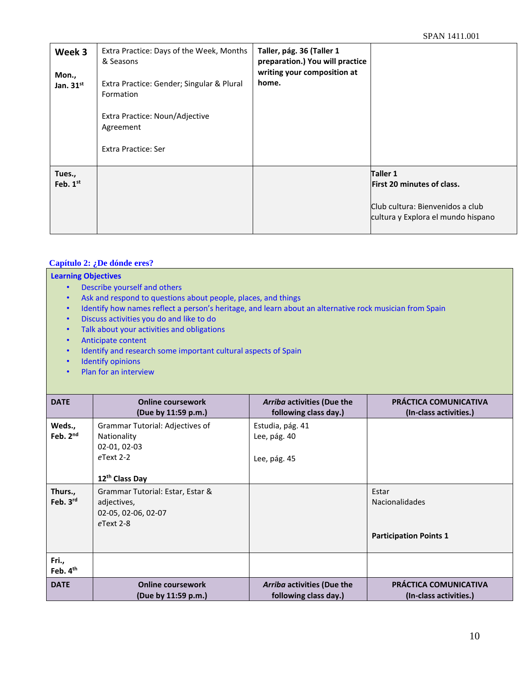| Week 3<br>Mon.,<br>Jan. $31^{st}$ | Extra Practice: Days of the Week, Months<br>& Seasons<br>Extra Practice: Gender; Singular & Plural<br>Formation<br>Extra Practice: Noun/Adjective<br>Agreement<br>Extra Practice: Ser | Taller, pág. 36 (Taller 1<br>preparation.) You will practice<br>writing your composition at<br>home. |                                                                                                                                |
|-----------------------------------|---------------------------------------------------------------------------------------------------------------------------------------------------------------------------------------|------------------------------------------------------------------------------------------------------|--------------------------------------------------------------------------------------------------------------------------------|
| Tues.,<br>Feb. $1st$              |                                                                                                                                                                                       |                                                                                                      | <b>Taller 1</b><br><b>First 20 minutes of class.</b><br>Club cultura: Bienvenidos a club<br>cultura y Explora el mundo hispano |

# **Capítulo 2: ¿De dónde eres?**

## **Learning Objectives**

- Describe yourself and others
- Ask and respond to questions about people, places, and things
- Identify how names reflect a person's heritage, and learn about an alternative rock musician from Spain
- Discuss activities you do and like to do
- Talk about your activities and obligations
- Anticipate content
- Identify and research some important cultural aspects of Spain
- Identify opinions
- Plan for an interview

| <b>DATE</b>          | <b>Online coursework</b><br>(Due by 11:59 p.m.)                                                              | Arriba activities (Due the<br>following class day.) | PRÁCTICA COMUNICATIVA<br>(In-class activities.)                 |
|----------------------|--------------------------------------------------------------------------------------------------------------|-----------------------------------------------------|-----------------------------------------------------------------|
| Weds.,<br>Feb. $2nd$ | Grammar Tutorial: Adjectives of<br>Nationality<br>02-01, 02-03<br>$e$ Text 2-2<br>12 <sup>th</sup> Class Day | Estudia, pág. 41<br>Lee, pág. 40<br>Lee, pág. 45    |                                                                 |
| Thurs.,<br>Feb. 3rd  | Grammar Tutorial: Estar, Estar &<br>adjectives,<br>02-05, 02-06, 02-07<br>eText 2-8                          |                                                     | Estar<br><b>Nacionalidades</b><br><b>Participation Points 1</b> |
| Fri.,<br>Feb. 4th    |                                                                                                              |                                                     |                                                                 |
| <b>DATE</b>          | <b>Online coursework</b><br>(Due by 11:59 p.m.)                                                              | Arriba activities (Due the<br>following class day.) | PRÁCTICA COMUNICATIVA<br>(In-class activities.)                 |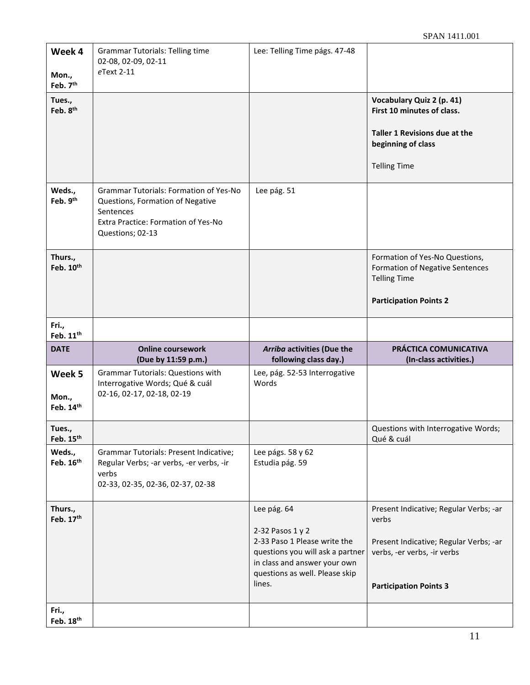| Week 4<br>Mon.,                                        | <b>Grammar Tutorials: Telling time</b><br>02-08, 02-09, 02-11<br>eText 2-11                                                                               | Lee: Telling Time págs. 47-48                                                                                                                                                   |                                                                                                                                                           |
|--------------------------------------------------------|-----------------------------------------------------------------------------------------------------------------------------------------------------------|---------------------------------------------------------------------------------------------------------------------------------------------------------------------------------|-----------------------------------------------------------------------------------------------------------------------------------------------------------|
| Feb. 7 <sup>th</sup><br>Tues.,<br>Feb. 8 <sup>th</sup> |                                                                                                                                                           |                                                                                                                                                                                 | Vocabulary Quiz 2 (p. 41)<br>First 10 minutes of class.<br>Taller 1 Revisions due at the<br>beginning of class                                            |
|                                                        |                                                                                                                                                           |                                                                                                                                                                                 | <b>Telling Time</b>                                                                                                                                       |
| Weds.,<br>Feb. 9th                                     | <b>Grammar Tutorials: Formation of Yes-No</b><br>Questions, Formation of Negative<br>Sentences<br>Extra Practice: Formation of Yes-No<br>Questions; 02-13 | Lee pág. 51                                                                                                                                                                     |                                                                                                                                                           |
| Thurs.,<br>Feb. 10th                                   |                                                                                                                                                           |                                                                                                                                                                                 | Formation of Yes-No Questions,<br>Formation of Negative Sentences<br><b>Telling Time</b><br><b>Participation Points 2</b>                                 |
| Fri.,<br>Feb. 11 <sup>th</sup>                         |                                                                                                                                                           |                                                                                                                                                                                 |                                                                                                                                                           |
|                                                        |                                                                                                                                                           |                                                                                                                                                                                 |                                                                                                                                                           |
| <b>DATE</b>                                            | <b>Online coursework</b><br>(Due by 11:59 p.m.)                                                                                                           | Arriba activities (Due the<br>following class day.)                                                                                                                             | PRÁCTICA COMUNICATIVA<br>(In-class activities.)                                                                                                           |
| Week 5<br>Mon.,<br>Feb. 14th                           | <b>Grammar Tutorials: Questions with</b><br>Interrogative Words; Qué & cuál<br>02-16, 02-17, 02-18, 02-19                                                 | Lee, pág. 52-53 Interrogative<br>Words                                                                                                                                          |                                                                                                                                                           |
| Tues.,<br>Feb. 15 <sup>th</sup>                        |                                                                                                                                                           |                                                                                                                                                                                 | Questions with Interrogative Words;<br>Qué & cuál                                                                                                         |
| Weds.,<br>Feb. 16th                                    | Grammar Tutorials: Present Indicative;<br>Regular Verbs; -ar verbs, -er verbs, -ir<br>verbs<br>02-33, 02-35, 02-36, 02-37, 02-38                          | Lee págs. 58 y 62<br>Estudia pág. 59                                                                                                                                            |                                                                                                                                                           |
| Thurs.,<br>Feb. 17th<br>Fri.,                          |                                                                                                                                                           | Lee pág. 64<br>2-32 Pasos 1 y 2<br>2-33 Paso 1 Please write the<br>questions you will ask a partner<br>in class and answer your own<br>questions as well. Please skip<br>lines. | Present Indicative; Regular Verbs; -ar<br>verbs<br>Present Indicative; Regular Verbs; -ar<br>verbs, -er verbs, -ir verbs<br><b>Participation Points 3</b> |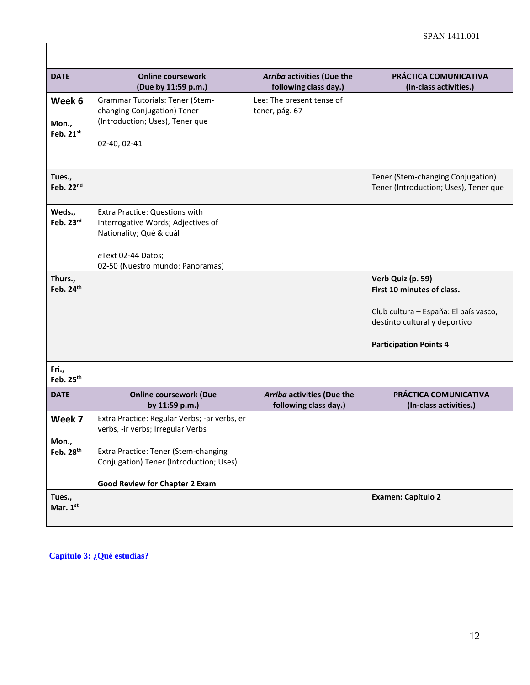| <b>DATE</b>                    | <b>Online coursework</b><br>(Due by 11:59 p.m.)                                                        | Arriba activities (Due the<br>following class day.) | PRÁCTICA COMUNICATIVA<br>(In-class activities.)                            |
|--------------------------------|--------------------------------------------------------------------------------------------------------|-----------------------------------------------------|----------------------------------------------------------------------------|
| Week 6                         | Grammar Tutorials: Tener (Stem-<br>changing Conjugation) Tener                                         | Lee: The present tense of<br>tener, pág. 67         |                                                                            |
| Mon.,<br>Feb. $21^{st}$        | (Introduction; Uses), Tener que<br>02-40, 02-41                                                        |                                                     |                                                                            |
|                                |                                                                                                        |                                                     |                                                                            |
| Tues.,<br>Feb. 22nd            |                                                                                                        |                                                     | Tener (Stem-changing Conjugation)<br>Tener (Introduction; Uses), Tener que |
| Weds.,<br>Feb. 23rd            | <b>Extra Practice: Questions with</b><br>Interrogative Words; Adjectives of<br>Nationality; Qué & cuál |                                                     |                                                                            |
|                                | eText 02-44 Datos;<br>02-50 (Nuestro mundo: Panoramas)                                                 |                                                     |                                                                            |
| Thurs.,<br>Feb. 24th           |                                                                                                        |                                                     | Verb Quiz (p. 59)<br>First 10 minutes of class.                            |
|                                |                                                                                                        |                                                     | Club cultura - España: El país vasco,<br>destinto cultural y deportivo     |
|                                |                                                                                                        |                                                     | <b>Participation Points 4</b>                                              |
| Fri.,<br>Feb. 25 <sup>th</sup> |                                                                                                        |                                                     |                                                                            |
| <b>DATE</b>                    | <b>Online coursework (Due</b><br>by 11:59 p.m.)                                                        | Arriba activities (Due the<br>following class day.) | PRÁCTICA COMUNICATIVA<br>(In-class activities.)                            |
| Week 7                         | Extra Practice: Regular Verbs; -ar verbs, er<br>verbs, -ir verbs; Irregular Verbs                      |                                                     |                                                                            |
| Mon.,<br>Feb. 28 <sup>th</sup> | Extra Practice: Tener (Stem-changing<br>Conjugation) Tener (Introduction; Uses)                        |                                                     |                                                                            |
|                                | <b>Good Review for Chapter 2 Exam</b>                                                                  |                                                     |                                                                            |
| Tues.,<br>Mar. 1st             |                                                                                                        |                                                     | <b>Examen: Capítulo 2</b>                                                  |

**Capítulo 3: ¿Qué estudias?**

 $\mathsf{r}$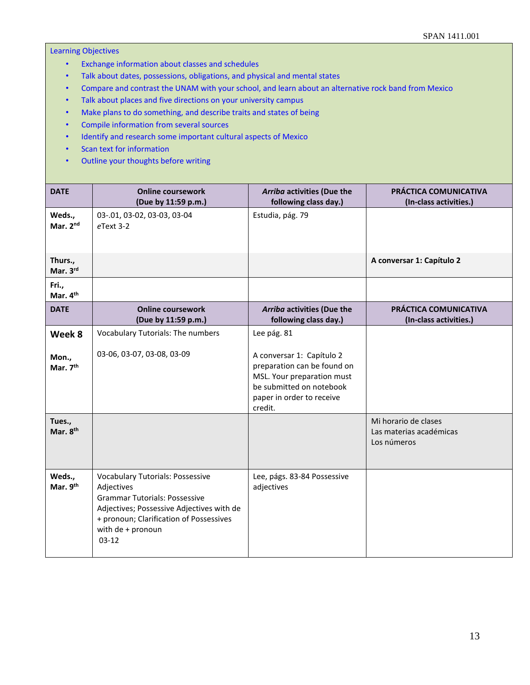## Learning Objectives

- Exchange information about classes and schedules
- Talk about dates, possessions, obligations, and physical and mental states
- Compare and contrast the UNAM with your school, and learn about an alternative rock band from Mexico
- Talk about places and five directions on your university campus
- Make plans to do something, and describe traits and states of being
- Compile information from several sources
- Identify and research some important cultural aspects of Mexico
- Scan text for information
- Outline your thoughts before writing

| <b>DATE</b>                                       | <b>Online coursework</b><br>(Due by 11:59 p.m.)                                                                                                                                                                       | Arriba activities (Due the<br>following class day.)                                                                                                                       | PRÁCTICA COMUNICATIVA<br>(In-class activities.) |
|---------------------------------------------------|-----------------------------------------------------------------------------------------------------------------------------------------------------------------------------------------------------------------------|---------------------------------------------------------------------------------------------------------------------------------------------------------------------------|-------------------------------------------------|
| Weds.,<br>Mar. 2nd                                | 03-.01, 03-02, 03-03, 03-04<br>eText 3-2                                                                                                                                                                              | Estudia, pág. 79                                                                                                                                                          |                                                 |
| Thurs.,<br>Mar. 3rd                               |                                                                                                                                                                                                                       |                                                                                                                                                                           | A conversar 1: Capítulo 2                       |
| Fri.,<br>Mar. 4 <sup>th</sup>                     |                                                                                                                                                                                                                       |                                                                                                                                                                           |                                                 |
| <b>DATE</b>                                       | <b>Online coursework</b><br>(Due by 11:59 p.m.)                                                                                                                                                                       | Arriba activities (Due the<br>following class day.)                                                                                                                       | PRÁCTICA COMUNICATIVA<br>(In-class activities.) |
| Week 8<br>Mon.,<br>Mar. 7 <sup>th</sup><br>Tues., | Vocabulary Tutorials: The numbers<br>03-06, 03-07, 03-08, 03-09                                                                                                                                                       | Lee pág. 81<br>A conversar 1: Capítulo 2<br>preparation can be found on<br>MSL. Your preparation must<br>be submitted on notebook<br>paper in order to receive<br>credit. | Mi horario de clases                            |
| Mar. 8 <sup>th</sup>                              |                                                                                                                                                                                                                       |                                                                                                                                                                           | Las materias académicas<br>Los números          |
| Weds.,<br>Mar. 9th                                | <b>Vocabulary Tutorials: Possessive</b><br>Adjectives<br><b>Grammar Tutorials: Possessive</b><br>Adjectives; Possessive Adjectives with de<br>+ pronoun; Clarification of Possessives<br>with de + pronoun<br>$03-12$ | Lee, págs. 83-84 Possessive<br>adjectives                                                                                                                                 |                                                 |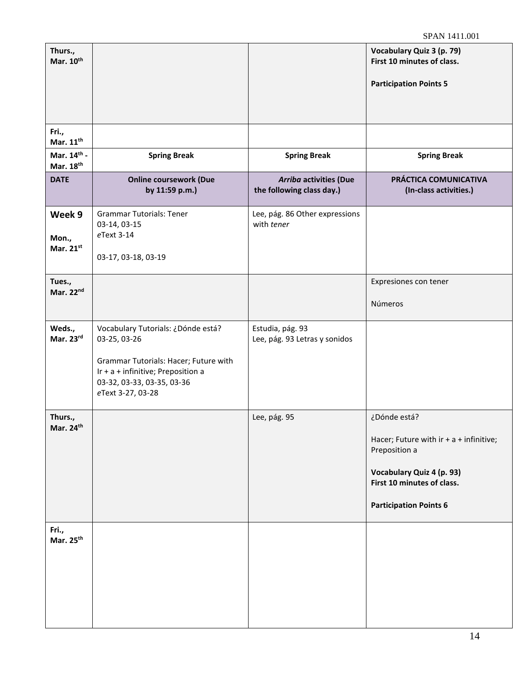| Thurs.,<br>Mar. 10th              |                                                                                                                                                                                      |                                                     | Vocabulary Quiz 3 (p. 79)<br>First 10 minutes of class.<br><b>Participation Points 5</b>                                                                               |
|-----------------------------------|--------------------------------------------------------------------------------------------------------------------------------------------------------------------------------------|-----------------------------------------------------|------------------------------------------------------------------------------------------------------------------------------------------------------------------------|
| Fri.,<br>Mar. 11 <sup>th</sup>    |                                                                                                                                                                                      |                                                     |                                                                                                                                                                        |
| Mar. 14th -<br>Mar. 18th          | <b>Spring Break</b>                                                                                                                                                                  | <b>Spring Break</b>                                 | <b>Spring Break</b>                                                                                                                                                    |
| <b>DATE</b>                       | <b>Online coursework (Due</b><br>by 11:59 p.m.)                                                                                                                                      | Arriba activities (Due<br>the following class day.) | PRÁCTICA COMUNICATIVA<br>(In-class activities.)                                                                                                                        |
| Week 9<br>Mon.,<br>Mar. $21^{st}$ | <b>Grammar Tutorials: Tener</b><br>03-14, 03-15<br>eText 3-14<br>03-17, 03-18, 03-19                                                                                                 | Lee, pág. 86 Other expressions<br>with tener        |                                                                                                                                                                        |
| Tues.,<br>Mar. 22nd               |                                                                                                                                                                                      |                                                     | Expresiones con tener<br>Números                                                                                                                                       |
| Weds.,<br>Mar. 23rd               | Vocabulary Tutorials: ¿Dónde está?<br>03-25, 03-26<br>Grammar Tutorials: Hacer; Future with<br>Ir + a + infinitive; Preposition a<br>03-32, 03-33, 03-35, 03-36<br>eText 3-27, 03-28 | Estudia, pág. 93<br>Lee, pág. 93 Letras y sonidos   |                                                                                                                                                                        |
| Thurs.,<br>Mar. 24th              |                                                                                                                                                                                      | Lee, pág. 95                                        | ¿Dónde está?<br>Hacer; Future with $ir + a +$ infinitive;<br>Preposition a<br>Vocabulary Quiz 4 (p. 93)<br>First 10 minutes of class.<br><b>Participation Points 6</b> |
| Fri.,<br>Mar. 25 <sup>th</sup>    |                                                                                                                                                                                      |                                                     |                                                                                                                                                                        |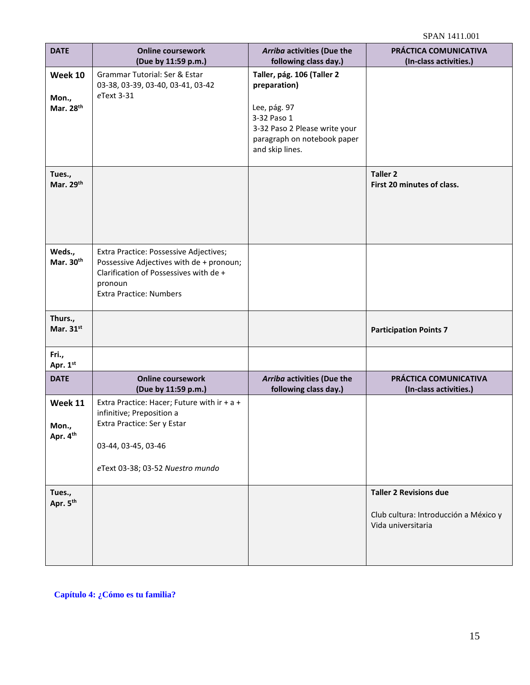SPAN 1411.001

| <b>DATE</b>                   | <b>Online coursework</b><br>(Due by 11:59 p.m.)                                                                                                                           | Arriba activities (Due the<br>following class day.)                                                                                                          | PRÁCTICA COMUNICATIVA<br>(In-class activities.)                                              |
|-------------------------------|---------------------------------------------------------------------------------------------------------------------------------------------------------------------------|--------------------------------------------------------------------------------------------------------------------------------------------------------------|----------------------------------------------------------------------------------------------|
| Week 10<br>Mon.,<br>Mar. 28th | Grammar Tutorial: Ser & Estar<br>03-38, 03-39, 03-40, 03-41, 03-42<br>eText 3-31                                                                                          | Taller, pág. 106 (Taller 2<br>preparation)<br>Lee, pág. 97<br>3-32 Paso 1<br>3-32 Paso 2 Please write your<br>paragraph on notebook paper<br>and skip lines. |                                                                                              |
| Tues.,<br>Mar. 29th           |                                                                                                                                                                           |                                                                                                                                                              | <b>Taller 2</b><br>First 20 minutes of class.                                                |
| Weds.,<br>Mar. 30th           | Extra Practice: Possessive Adjectives;<br>Possessive Adjectives with de + pronoun;<br>Clarification of Possessives with de +<br>pronoun<br><b>Extra Practice: Numbers</b> |                                                                                                                                                              |                                                                                              |
| Thurs.,<br>Mar. 31st          |                                                                                                                                                                           |                                                                                                                                                              | <b>Participation Points 7</b>                                                                |
| Fri.,<br>Apr. 1st             |                                                                                                                                                                           |                                                                                                                                                              |                                                                                              |
| <b>DATE</b>                   | <b>Online coursework</b><br>(Due by 11:59 p.m.)                                                                                                                           | Arriba activities (Due the<br>following class day.)                                                                                                          | PRÁCTICA COMUNICATIVA<br>(In-class activities.)                                              |
| Week 11<br>Mon.,<br>Apr. 4th  | Extra Practice: Hacer; Future with ir + a +<br>infinitive; Preposition a<br>Extra Practice: Ser y Estar<br>03-44, 03-45, 03-46<br>eText 03-38; 03-52 Nuestro mundo        |                                                                                                                                                              |                                                                                              |
| Tues.,<br>Apr. 5th            |                                                                                                                                                                           |                                                                                                                                                              | <b>Taller 2 Revisions due</b><br>Club cultura: Introducción a México y<br>Vida universitaria |

 **Capítulo 4: ¿Cómo es tu familia?**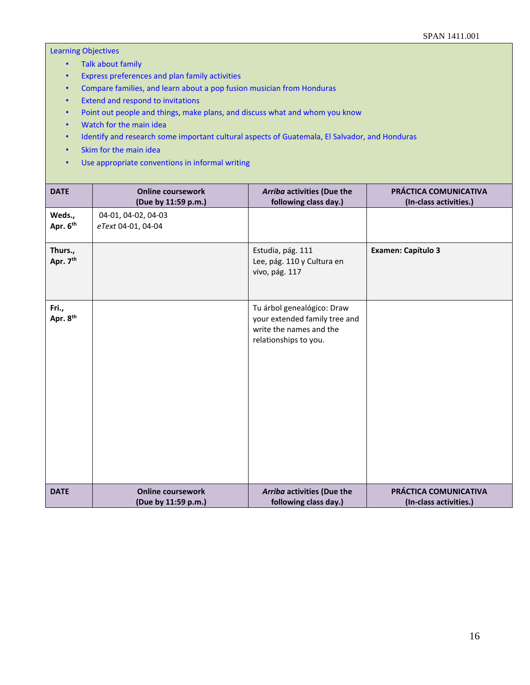## Learning Objectives

- Talk about family
- Express preferences and plan family activities
- Compare families, and learn about a pop fusion musician from Honduras
- Extend and respond to invitations
- Point out people and things, make plans, and discuss what and whom you know
- Watch for the main idea
- Identify and research some important cultural aspects of Guatemala, El Salvador, and Honduras
- Skim for the main idea
- Use appropriate conventions in informal writing

| <b>DATE</b>         | <b>Online coursework</b><br>(Due by 11:59 p.m.) | Arriba activities (Due the<br>following class day.)                                                             | PRÁCTICA COMUNICATIVA<br>(In-class activities.) |
|---------------------|-------------------------------------------------|-----------------------------------------------------------------------------------------------------------------|-------------------------------------------------|
| Weds.,<br>Apr. 6th  | 04-01, 04-02, 04-03<br>eText 04-01, 04-04       |                                                                                                                 |                                                 |
| Thurs.,<br>Apr. 7th |                                                 | Estudia, pág. 111<br>Lee, pág. 110 y Cultura en<br>vivo, pág. 117                                               | <b>Examen: Capítulo 3</b>                       |
| Fri.,<br>Apr. 8th   |                                                 | Tu árbol genealógico: Draw<br>your extended family tree and<br>write the names and the<br>relationships to you. |                                                 |
| <b>DATE</b>         | <b>Online coursework</b><br>(Due by 11:59 p.m.) | Arriba activities (Due the<br>following class day.)                                                             | PRÁCTICA COMUNICATIVA<br>(In-class activities.) |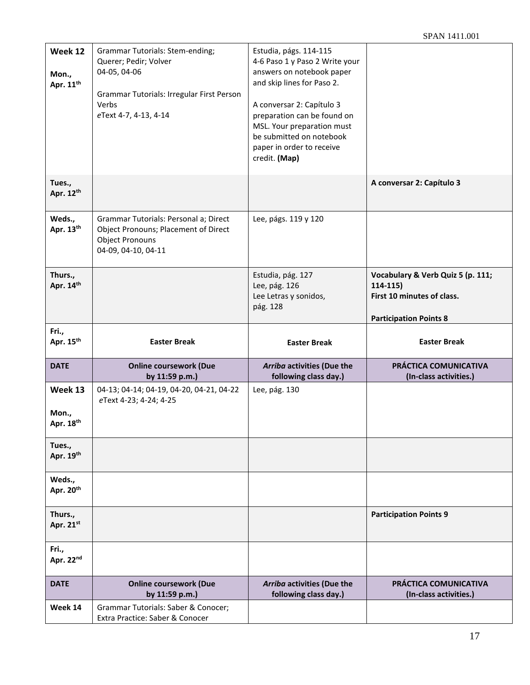| Week 12<br>Mon.,<br>Apr. 11 <sup>th</sup> | <b>Grammar Tutorials: Stem-ending;</b><br>Querer; Pedir; Volver<br>04-05, 04-06<br>Grammar Tutorials: Irregular First Person<br>Verbs<br>eText 4-7, 4-13, 4-14 | Estudia, págs. 114-115<br>4-6 Paso 1 y Paso 2 Write your<br>answers on notebook paper<br>and skip lines for Paso 2.<br>A conversar 2: Capítulo 3<br>preparation can be found on<br>MSL. Your preparation must<br>be submitted on notebook<br>paper in order to receive<br>credit. (Map) |                                                                                                                |
|-------------------------------------------|----------------------------------------------------------------------------------------------------------------------------------------------------------------|-----------------------------------------------------------------------------------------------------------------------------------------------------------------------------------------------------------------------------------------------------------------------------------------|----------------------------------------------------------------------------------------------------------------|
| Tues.,<br>Apr. 12th                       |                                                                                                                                                                |                                                                                                                                                                                                                                                                                         | A conversar 2: Capítulo 3                                                                                      |
| Weds.,<br>Apr. 13th                       | Grammar Tutorials: Personal a; Direct<br>Object Pronouns; Placement of Direct<br><b>Object Pronouns</b><br>04-09, 04-10, 04-11                                 | Lee, págs. 119 y 120                                                                                                                                                                                                                                                                    |                                                                                                                |
| Thurs.,<br>Apr. 14th                      |                                                                                                                                                                | Estudia, pág. 127<br>Lee, pág. 126<br>Lee Letras y sonidos,<br>pág. 128                                                                                                                                                                                                                 | Vocabulary & Verb Quiz 5 (p. 111;<br>$114-115)$<br>First 10 minutes of class.<br><b>Participation Points 8</b> |
| Fri.,                                     |                                                                                                                                                                |                                                                                                                                                                                                                                                                                         |                                                                                                                |
| Apr. 15 <sup>th</sup>                     | <b>Easter Break</b>                                                                                                                                            | <b>Easter Break</b>                                                                                                                                                                                                                                                                     | <b>Easter Break</b>                                                                                            |
| <b>DATE</b>                               | <b>Online coursework (Due</b><br>by 11:59 p.m.)                                                                                                                | Arriba activities (Due the<br>following class day.)                                                                                                                                                                                                                                     | PRÁCTICA COMUNICATIVA<br>(In-class activities.)                                                                |
| Week 13<br>Mon.,<br>Apr. 18th             | 04-13; 04-14; 04-19, 04-20, 04-21, 04-22<br>eText 4-23; 4-24; 4-25                                                                                             | Lee, pág. 130                                                                                                                                                                                                                                                                           |                                                                                                                |
| Tues.,<br>Apr. 19th                       |                                                                                                                                                                |                                                                                                                                                                                                                                                                                         |                                                                                                                |
| Weds.,<br>Apr. 20th                       |                                                                                                                                                                |                                                                                                                                                                                                                                                                                         |                                                                                                                |
| Thurs.,<br>Apr. 21st                      |                                                                                                                                                                |                                                                                                                                                                                                                                                                                         | <b>Participation Points 9</b>                                                                                  |
| Fri.,<br>Apr. 22nd                        |                                                                                                                                                                |                                                                                                                                                                                                                                                                                         |                                                                                                                |
| <b>DATE</b>                               | <b>Online coursework (Due</b><br>by 11:59 p.m.)                                                                                                                | Arriba activities (Due the<br>following class day.)                                                                                                                                                                                                                                     | PRÁCTICA COMUNICATIVA<br>(In-class activities.)                                                                |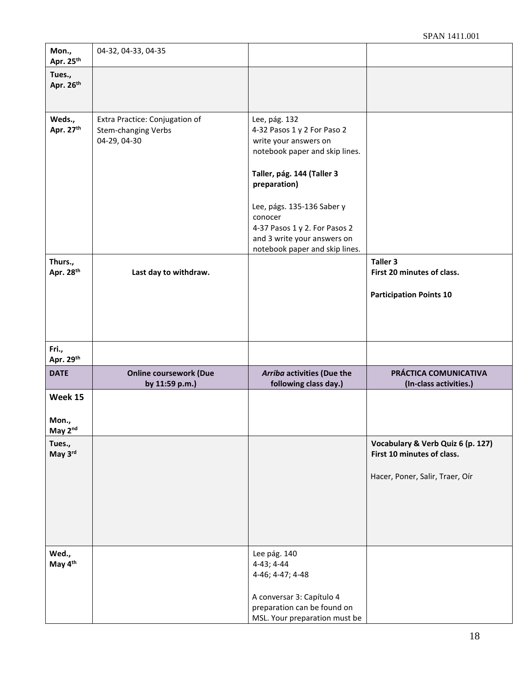| Mon.,<br>Apr. 25th               | 04-32, 04-33, 04-35                                                   |                                                                                                                                                                                                                                                                                                  |                                                                                                    |
|----------------------------------|-----------------------------------------------------------------------|--------------------------------------------------------------------------------------------------------------------------------------------------------------------------------------------------------------------------------------------------------------------------------------------------|----------------------------------------------------------------------------------------------------|
| Tues.,<br>Apr. 26th              |                                                                       |                                                                                                                                                                                                                                                                                                  |                                                                                                    |
| Weds.,<br>Apr. 27th              | Extra Practice: Conjugation of<br>Stem-changing Verbs<br>04-29, 04-30 | Lee, pág. 132<br>4-32 Pasos 1 y 2 For Paso 2<br>write your answers on<br>notebook paper and skip lines.<br>Taller, pág. 144 (Taller 3<br>preparation)<br>Lee, págs. 135-136 Saber y<br>conocer<br>4-37 Pasos 1 y 2. For Pasos 2<br>and 3 write your answers on<br>notebook paper and skip lines. |                                                                                                    |
| Thurs.,<br>Apr. 28 <sup>th</sup> | Last day to withdraw.                                                 |                                                                                                                                                                                                                                                                                                  | Taller 3<br>First 20 minutes of class.<br><b>Participation Points 10</b>                           |
| Fri.,<br>Apr. 29th               |                                                                       |                                                                                                                                                                                                                                                                                                  |                                                                                                    |
| <b>DATE</b>                      | <b>Online coursework (Due</b><br>by 11:59 p.m.)                       | Arriba activities (Due the<br>following class day.)                                                                                                                                                                                                                                              | PRÁCTICA COMUNICATIVA<br>(In-class activities.)                                                    |
| Week 15<br>Mon.,<br>May 2nd      |                                                                       |                                                                                                                                                                                                                                                                                                  |                                                                                                    |
| Tues.,<br>May 3rd                |                                                                       |                                                                                                                                                                                                                                                                                                  | Vocabulary & Verb Quiz 6 (p. 127)<br>First 10 minutes of class.<br>Hacer, Poner, Salir, Traer, Oír |
| Wed.,<br>May 4th                 |                                                                       | Lee pág. 140<br>4-43; 4-44<br>4-46; 4-47; 4-48<br>A conversar 3: Capítulo 4<br>preparation can be found on<br>MSL. Your preparation must be                                                                                                                                                      |                                                                                                    |